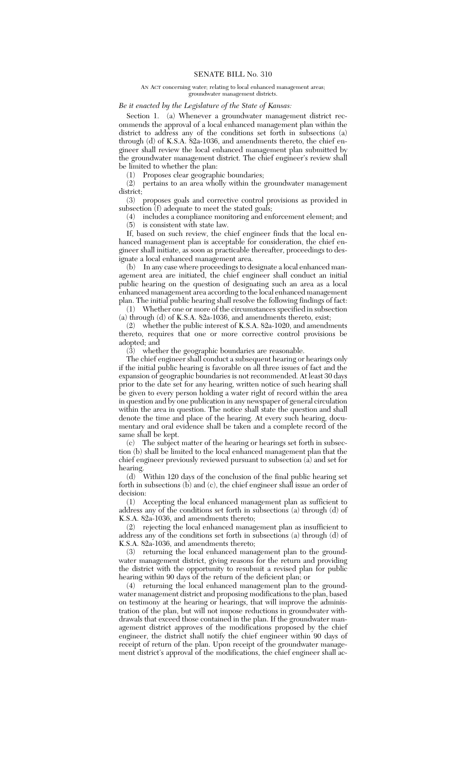## AN ACT concerning water; relating to local enhanced management areas; groundwater management districts.

## *Be it enacted by the Legislature of the State of Kansas:*

Section 1. (a) Whenever a groundwater management district recommends the approval of a local enhanced management plan within the district to address any of the conditions set forth in subsections (a) through (d) of K.S.A. 82a-1036, and amendments thereto, the chief engineer shall review the local enhanced management plan submitted by the groundwater management district. The chief engineer's review shall be limited to whether the plan:

(1) Proposes clear geographic boundaries;

(2) pertains to an area wholly within the groundwater management district;

(3) proposes goals and corrective control provisions as provided in subsection (f) adequate to meet the stated goals;

(4) includes a compliance monitoring and enforcement element; and (5) is consistent with state law.

If, based on such review, the chief engineer finds that the local enhanced management plan is acceptable for consideration, the chief engineer shall initiate, as soon as practicable thereafter, proceedings to designate a local enhanced management area.

(b) In any case where proceedings to designate a local enhanced management area are initiated, the chief engineer shall conduct an initial public hearing on the question of designating such an area as a local enhanced management area according to the local enhanced management plan. The initial public hearing shall resolve the following findings of fact:

(1) Whether one or more of the circumstances specified in subsection (a) through (d) of K.S.A. 82a-1036, and amendments thereto, exist;

(2) whether the public interest of K.S.A. 82a-1020, and amendments thereto, requires that one or more corrective control provisions be adopted; and

(3) whether the geographic boundaries are reasonable.

The chief engineer shall conduct a subsequent hearing or hearings only if the initial public hearing is favorable on all three issues of fact and the expansion of geographic boundaries is not recommended. At least 30 days prior to the date set for any hearing, written notice of such hearing shall be given to every person holding a water right of record within the area in question and by one publication in any newspaper of general circulation within the area in question. The notice shall state the question and shall denote the time and place of the hearing. At every such hearing, documentary and oral evidence shall be taken and a complete record of the same shall be kept.

(c) The subject matter of the hearing or hearings set forth in subsection (b) shall be limited to the local enhanced management plan that the chief engineer previously reviewed pursuant to subsection (a) and set for hearing.

(d) Within 120 days of the conclusion of the final public hearing set forth in subsections (b) and (c), the chief engineer shall issue an order of decision:

(1) Accepting the local enhanced management plan as sufficient to address any of the conditions set forth in subsections (a) through (d) of K.S.A. 82a-1036, and amendments thereto;

(2) rejecting the local enhanced management plan as insufficient to address any of the conditions set forth in subsections (a) through (d) of K.S.A. 82a-1036, and amendments thereto;

(3) returning the local enhanced management plan to the groundwater management district, giving reasons for the return and providing the district with the opportunity to resubmit a revised plan for public hearing within 90 days of the return of the deficient plan; or

 $(4)$  returning the local enhanced management plan to the groundwater management district and proposing modifications to the plan, based on testimony at the hearing or hearings, that will improve the administration of the plan, but will not impose reductions in groundwater withdrawals that exceed those contained in the plan. If the groundwater management district approves of the modifications proposed by the chief engineer, the district shall notify the chief engineer within 90 days of receipt of return of the plan. Upon receipt of the groundwater management district's approval of the modifications, the chief engineer shall ac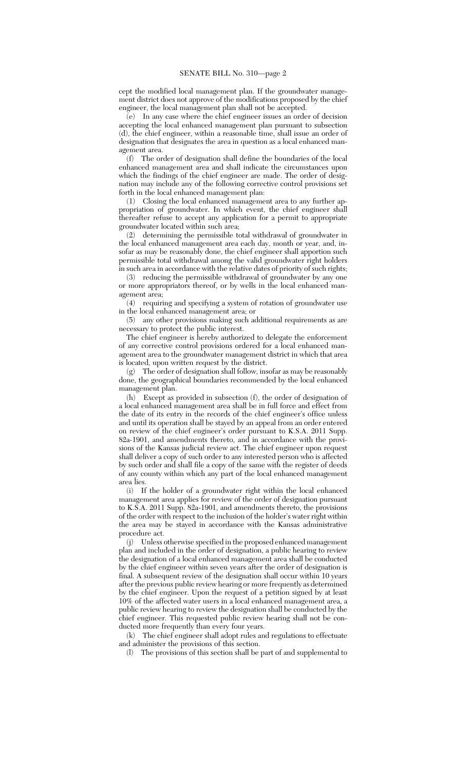cept the modified local management plan. If the groundwater management district does not approve of the modifications proposed by the chief engineer, the local management plan shall not be accepted.

 $\overline{e}$  In any case where the chief engineer issues an order of decision accepting the local enhanced management plan pursuant to subsection (d), the chief engineer, within a reasonable time, shall issue an order of designation that designates the area in question as a local enhanced management area.

(f) The order of designation shall define the boundaries of the local enhanced management area and shall indicate the circumstances upon which the findings of the chief engineer are made. The order of designation may include any of the following corrective control provisions set forth in the local enhanced management plan:

(1) Closing the local enhanced management area to any further appropriation of groundwater. In which event, the chief engineer shall thereafter refuse to accept any application for a permit to appropriate groundwater located within such area;

(2) determining the permissible total withdrawal of groundwater in the local enhanced management area each day, month or year, and, insofar as may be reasonably done, the chief engineer shall apportion such permissible total withdrawal among the valid groundwater right holders in such area in accordance with the relative dates of priority of such rights;

(3) reducing the permissible withdrawal of groundwater by any one or more appropriators thereof, or by wells in the local enhanced management area;

(4) requiring and specifying a system of rotation of groundwater use in the local enhanced management area; or

(5) any other provisions making such additional requirements as are necessary to protect the public interest.

The chief engineer is hereby authorized to delegate the enforcement of any corrective control provisions ordered for a local enhanced management area to the groundwater management district in which that area is located, upon written request by the district.

(g) The order of designation shall follow, insofar as may be reasonably done, the geographical boundaries recommended by the local enhanced management plan.

(h) Except as provided in subsection (f), the order of designation of a local enhanced management area shall be in full force and effect from the date of its entry in the records of the chief engineer's office unless and until its operation shall be stayed by an appeal from an order entered on review of the chief engineer's order pursuant to K.S.A. 2011 Supp. 82a-1901, and amendments thereto, and in accordance with the provisions of the Kansas judicial review act. The chief engineer upon request shall deliver a copy of such order to any interested person who is affected by such order and shall file a copy of the same with the register of deeds of any county within which any part of the local enhanced management area lies.

(i) If the holder of a groundwater right within the local enhanced management area applies for review of the order of designation pursuant to K.S.A. 2011 Supp. 82a-1901, and amendments thereto, the provisions of the order with respect to the inclusion of the holder's water right within the area may be stayed in accordance with the Kansas administrative procedure act.

(j) Unless otherwise specified in the proposed enhanced management plan and included in the order of designation, a public hearing to review the designation of a local enhanced management area shall be conducted by the chief engineer within seven years after the order of designation is final. A subsequent review of the designation shall occur within 10 years after the previous public review hearing or more frequently as determined by the chief engineer. Upon the request of a petition signed by at least 10% of the affected water users in a local enhanced management area, a public review hearing to review the designation shall be conducted by the chief engineer. This requested public review hearing shall not be conducted more frequently than every four years.

(k) The chief engineer shall adopt rules and regulations to effectuate and administer the provisions of this section.

(l) The provisions of this section shall be part of and supplemental to